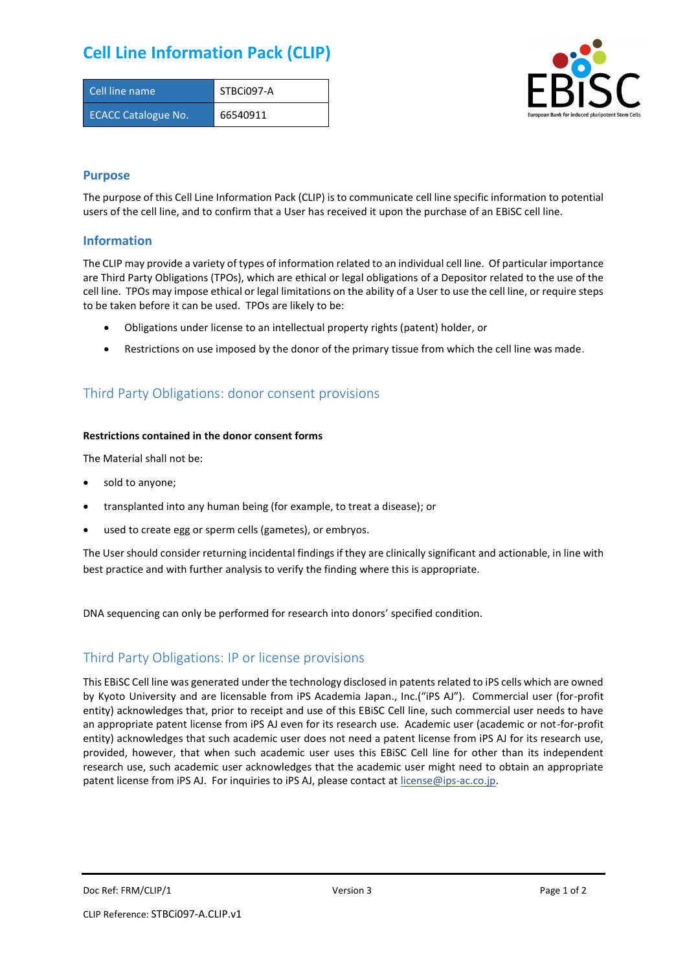## **Cell Line Information Pack (CLIP)**

| Cell line name             | STBCi097-A |
|----------------------------|------------|
| <b>ECACC Catalogue No.</b> | 66540911   |



### **Purpose**

The purpose of this Cell Line Information Pack (CLIP) is to communicate cell line specific information to potential users of the cell line, and to confirm that a User has received it upon the purchase of an EBiSC cell line.

### **Information**

The CLIP may provide a variety of types of information related to an individual cell line. Of particular importance are Third Party Obligations (TPOs), which are ethical or legal obligations of a Depositor related to the use of the cell line. TPOs may impose ethical or legal limitations on the ability of a User to use the cell line, or require steps to be taken before it can be used. TPOs are likely to be:

- Obligations under license to an intellectual property rights (patent) holder, or
- Restrictions on use imposed by the donor of the primary tissue from which the cell line was made.

## Third Party Obligations: donor consent provisions

#### **Restrictions contained in the donor consent forms**

The Material shall not be:

- sold to anyone;
- transplanted into any human being (for example, to treat a disease); or
- used to create egg or sperm cells (gametes), or embryos.

The User should consider returning incidental findings if they are clinically significant and actionable, in line with best practice and with further analysis to verify the finding where this is appropriate.

DNA sequencing can only be performed for research into donors' specified condition.

## Third Party Obligations: IP or license provisions

This EBiSC Cell line was generated under the technology disclosed in patents related to iPS cells which are owned by Kyoto University and are licensable from iPS Academia Japan., Inc.("iPS AJ"). Commercial user (for-profit entity) acknowledges that, prior to receipt and use of this EBiSC Cell line, such commercial user needs to have an appropriate patent license from iPS AJ even for its research use. Academic user (academic or not-for-profit entity) acknowledges that such academic user does not need a patent license from iPS AJ for its research use, provided, however, that when such academic user uses this EBiSC Cell line for other than its independent research use, such academic user acknowledges that the academic user might need to obtain an appropriate patent license from iPS AJ. For inquiries to iPS AJ, please contact at [license@ips-ac.co.jp.](mailto:license@ips-ac.co.jp)

Doc Ref: FRM/CLIP/1 **Doces 2** Page 1 of 2 Page 1 of 2